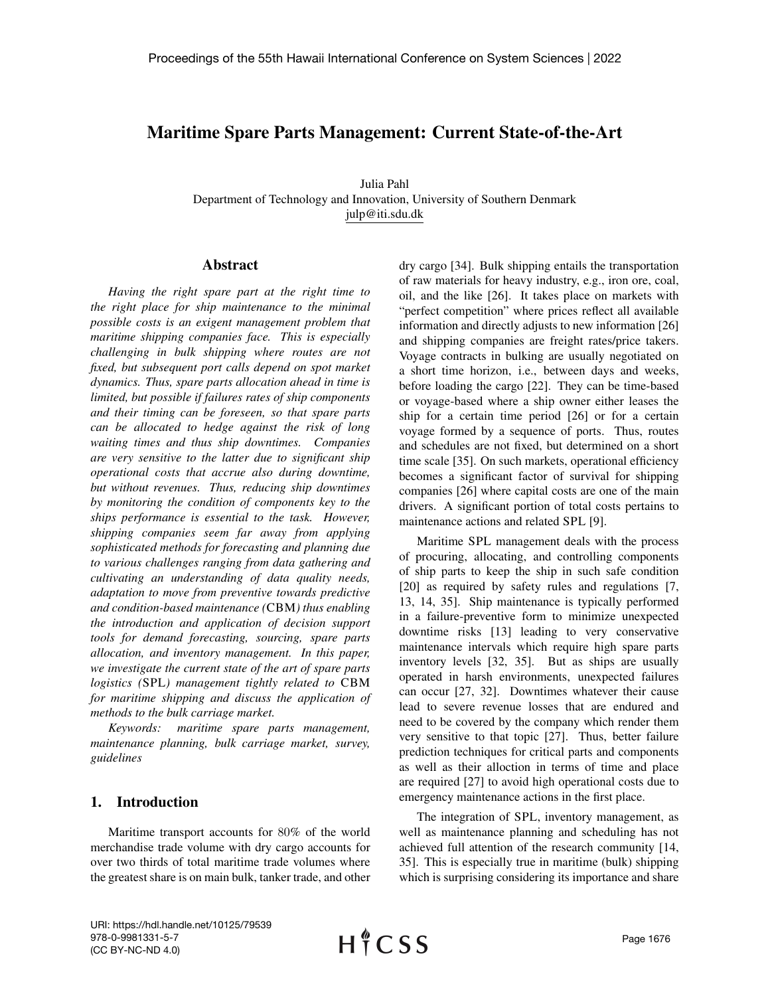# Maritime Spare Parts Management: Current State-of-the-Art

Julia Pahl Department of Technology and Innovation, University of Southern Denmark julp@iti.sdu.dk

#### Abstract

*Having the right spare part at the right time to the right place for ship maintenance to the minimal possible costs is an exigent management problem that maritime shipping companies face. This is especially challenging in bulk shipping where routes are not fixed, but subsequent port calls depend on spot market dynamics. Thus, spare parts allocation ahead in time is limited, but possible if failures rates of ship components and their timing can be foreseen, so that spare parts can be allocated to hedge against the risk of long waiting times and thus ship downtimes. Companies are very sensitive to the latter due to significant ship operational costs that accrue also during downtime, but without revenues. Thus, reducing ship downtimes by monitoring the condition of components key to the ships performance is essential to the task. However, shipping companies seem far away from applying sophisticated methods for forecasting and planning due to various challenges ranging from data gathering and cultivating an understanding of data quality needs, adaptation to move from preventive towards predictive and condition-based maintenance (*CBM*) thus enabling the introduction and application of decision support tools for demand forecasting, sourcing, spare parts allocation, and inventory management. In this paper, we investigate the current state of the art of spare parts logistics (*SPL*) management tightly related to* CBM *for maritime shipping and discuss the application of methods to the bulk carriage market.*

*Keywords: maritime spare parts management, maintenance planning, bulk carriage market, survey, guidelines*

### 1. Introduction

Maritime transport accounts for 80% of the world merchandise trade volume with dry cargo accounts for over two thirds of total maritime trade volumes where the greatest share is on main bulk, tanker trade, and other

dry cargo [34]. Bulk shipping entails the transportation of raw materials for heavy industry, e.g., iron ore, coal, oil, and the like [26]. It takes place on markets with "perfect competition" where prices reflect all available information and directly adjusts to new information [26] and shipping companies are freight rates/price takers. Voyage contracts in bulking are usually negotiated on a short time horizon, i.e., between days and weeks, before loading the cargo [22]. They can be time-based or voyage-based where a ship owner either leases the ship for a certain time period [26] or for a certain voyage formed by a sequence of ports. Thus, routes and schedules are not fixed, but determined on a short time scale [35]. On such markets, operational efficiency becomes a significant factor of survival for shipping companies [26] where capital costs are one of the main drivers. A significant portion of total costs pertains to maintenance actions and related SPL [9].

Maritime SPL management deals with the process of procuring, allocating, and controlling components of ship parts to keep the ship in such safe condition [20] as required by safety rules and regulations [7, 13, 14, 35]. Ship maintenance is typically performed in a failure-preventive form to minimize unexpected downtime risks [13] leading to very conservative maintenance intervals which require high spare parts inventory levels [32, 35]. But as ships are usually operated in harsh environments, unexpected failures can occur [27, 32]. Downtimes whatever their cause lead to severe revenue losses that are endured and need to be covered by the company which render them very sensitive to that topic [27]. Thus, better failure prediction techniques for critical parts and components as well as their alloction in terms of time and place are required [27] to avoid high operational costs due to emergency maintenance actions in the first place.

The integration of SPL, inventory management, as well as maintenance planning and scheduling has not achieved full attention of the research community [14, 35]. This is especially true in maritime (bulk) shipping which is surprising considering its importance and share

URI: https://hdl.handle.net/10125/79539 978-0-9981331-5-7 (CC BY-NC-ND 4.0)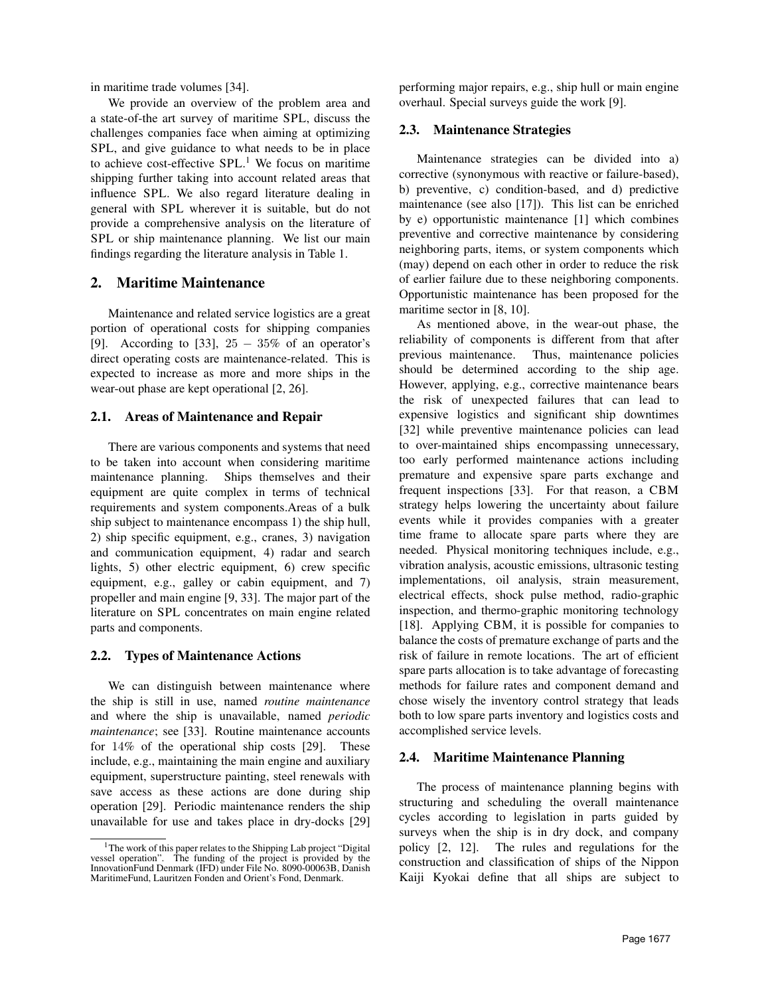in maritime trade volumes [34].

We provide an overview of the problem area and a state-of-the art survey of maritime SPL, discuss the challenges companies face when aiming at optimizing SPL, and give guidance to what needs to be in place to achieve cost-effective  $SPL<sup>1</sup>$ . We focus on maritime shipping further taking into account related areas that influence SPL. We also regard literature dealing in general with SPL wherever it is suitable, but do not provide a comprehensive analysis on the literature of SPL or ship maintenance planning. We list our main findings regarding the literature analysis in Table 1.

# 2. Maritime Maintenance

Maintenance and related service logistics are a great portion of operational costs for shipping companies [9]. According to [33],  $25 - 35\%$  of an operator's direct operating costs are maintenance-related. This is expected to increase as more and more ships in the wear-out phase are kept operational [2, 26].

### 2.1. Areas of Maintenance and Repair

There are various components and systems that need to be taken into account when considering maritime maintenance planning. Ships themselves and their equipment are quite complex in terms of technical requirements and system components.Areas of a bulk ship subject to maintenance encompass 1) the ship hull, 2) ship specific equipment, e.g., cranes, 3) navigation and communication equipment, 4) radar and search lights, 5) other electric equipment, 6) crew specific equipment, e.g., galley or cabin equipment, and 7) propeller and main engine [9, 33]. The major part of the literature on SPL concentrates on main engine related parts and components.

## 2.2. Types of Maintenance Actions

We can distinguish between maintenance where the ship is still in use, named *routine maintenance* and where the ship is unavailable, named *periodic maintenance*; see [33]. Routine maintenance accounts for 14% of the operational ship costs [29]. These include, e.g., maintaining the main engine and auxiliary equipment, superstructure painting, steel renewals with save access as these actions are done during ship operation [29]. Periodic maintenance renders the ship unavailable for use and takes place in dry-docks [29]

performing major repairs, e.g., ship hull or main engine overhaul. Special surveys guide the work [9].

### 2.3. Maintenance Strategies

Maintenance strategies can be divided into a) corrective (synonymous with reactive or failure-based), b) preventive, c) condition-based, and d) predictive maintenance (see also [17]). This list can be enriched by e) opportunistic maintenance [1] which combines preventive and corrective maintenance by considering neighboring parts, items, or system components which (may) depend on each other in order to reduce the risk of earlier failure due to these neighboring components. Opportunistic maintenance has been proposed for the maritime sector in [8, 10].

As mentioned above, in the wear-out phase, the reliability of components is different from that after previous maintenance. Thus, maintenance policies should be determined according to the ship age. However, applying, e.g., corrective maintenance bears the risk of unexpected failures that can lead to expensive logistics and significant ship downtimes [32] while preventive maintenance policies can lead to over-maintained ships encompassing unnecessary, too early performed maintenance actions including premature and expensive spare parts exchange and frequent inspections [33]. For that reason, a CBM strategy helps lowering the uncertainty about failure events while it provides companies with a greater time frame to allocate spare parts where they are needed. Physical monitoring techniques include, e.g., vibration analysis, acoustic emissions, ultrasonic testing implementations, oil analysis, strain measurement, electrical effects, shock pulse method, radio-graphic inspection, and thermo-graphic monitoring technology [18]. Applying CBM, it is possible for companies to balance the costs of premature exchange of parts and the risk of failure in remote locations. The art of efficient spare parts allocation is to take advantage of forecasting methods for failure rates and component demand and chose wisely the inventory control strategy that leads both to low spare parts inventory and logistics costs and accomplished service levels.

## 2.4. Maritime Maintenance Planning

The process of maintenance planning begins with structuring and scheduling the overall maintenance cycles according to legislation in parts guided by surveys when the ship is in dry dock, and company policy [2, 12]. The rules and regulations for the construction and classification of ships of the Nippon Kaiji Kyokai define that all ships are subject to

<sup>1</sup>The work of this paper relates to the Shipping Lab project "Digital vessel operation". The funding of the project is provided by the InnovationFund Denmark (IFD) under File No. 8090-00063B, Danish MaritimeFund, Lauritzen Fonden and Orient's Fond, Denmark.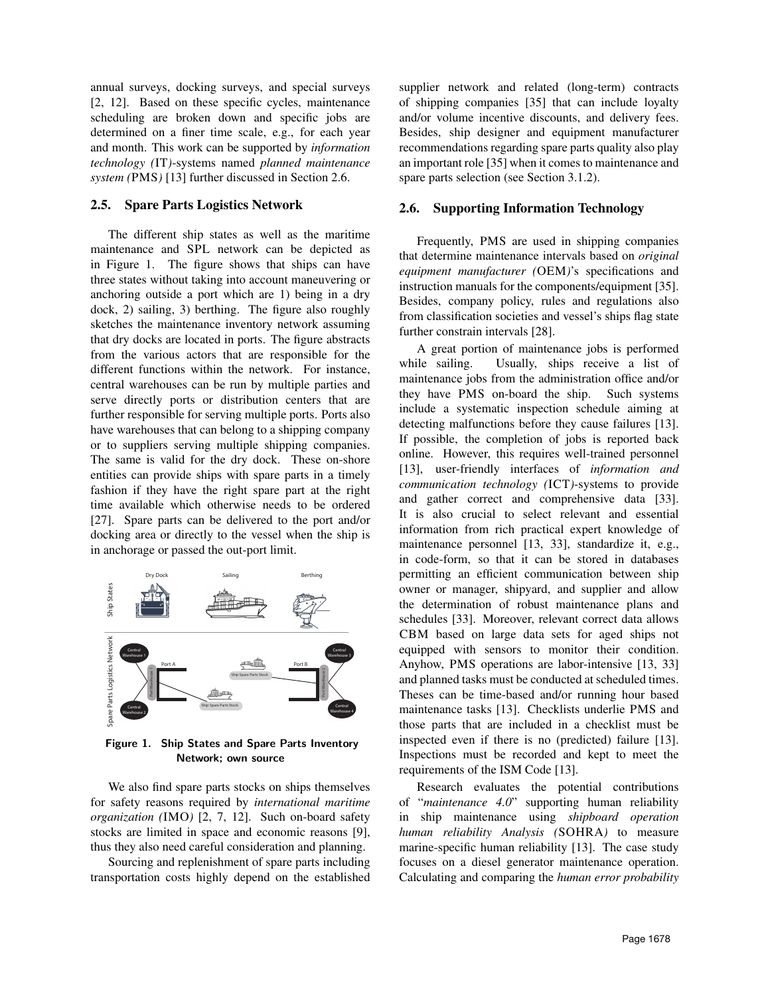annual surveys, docking surveys, and special surveys [2, 12]. Based on these specific cycles, maintenance scheduling are broken down and specific jobs are determined on a finer time scale, e.g., for each year and month. This work can be supported by *information technology (*IT*)*-systems named *planned maintenance system (*PMS*)* [13] further discussed in Section 2.6.

#### 2.5. Spare Parts Logistics Network

The different ship states as well as the maritime maintenance and SPL network can be depicted as in Figure 1. The figure shows that ships can have three states without taking into account maneuvering or anchoring outside a port which are 1) being in a dry dock, 2) sailing, 3) berthing. The figure also roughly sketches the maintenance inventory network assuming that dry docks are located in ports. The figure abstracts from the various actors that are responsible for the different functions within the network. For instance, central warehouses can be run by multiple parties and serve directly ports or distribution centers that are further responsible for serving multiple ports. Ports also have warehouses that can belong to a shipping company or to suppliers serving multiple shipping companies. The same is valid for the dry dock. These on-shore entities can provide ships with spare parts in a timely fashion if they have the right spare part at the right time available which otherwise needs to be ordered [27]. Spare parts can be delivered to the port and/or docking area or directly to the vessel when the ship is in anchorage or passed the out-port limit.



Figure 1. Ship States and Spare Parts Inventory Network; own source

We also find spare parts stocks on ships themselves for safety reasons required by *international maritime organization (*IMO*)* [2, 7, 12]. Such on-board safety stocks are limited in space and economic reasons [9], thus they also need careful consideration and planning.

Sourcing and replenishment of spare parts including transportation costs highly depend on the established supplier network and related (long-term) contracts of shipping companies [35] that can include loyalty and/or volume incentive discounts, and delivery fees. Besides, ship designer and equipment manufacturer recommendations regarding spare parts quality also play an important role [35] when it comes to maintenance and spare parts selection (see Section 3.1.2).

#### 2.6. Supporting Information Technology

Frequently, PMS are used in shipping companies that determine maintenance intervals based on *original equipment manufacturer (*OEM*)*'s specifications and instruction manuals for the components/equipment [35]. Besides, company policy, rules and regulations also from classification societies and vessel's ships flag state further constrain intervals [28].

A great portion of maintenance jobs is performed while sailing. Usually, ships receive a list of maintenance jobs from the administration office and/or they have PMS on-board the ship. Such systems include a systematic inspection schedule aiming at detecting malfunctions before they cause failures [13]. If possible, the completion of jobs is reported back online. However, this requires well-trained personnel [13], user-friendly interfaces of *information and communication technology (*ICT*)*-systems to provide and gather correct and comprehensive data [33]. It is also crucial to select relevant and essential information from rich practical expert knowledge of maintenance personnel [13, 33], standardize it, e.g., in code-form, so that it can be stored in databases permitting an efficient communication between ship owner or manager, shipyard, and supplier and allow the determination of robust maintenance plans and schedules [33]. Moreover, relevant correct data allows CBM based on large data sets for aged ships not equipped with sensors to monitor their condition. Anyhow, PMS operations are labor-intensive [13, 33] and planned tasks must be conducted at scheduled times. Theses can be time-based and/or running hour based maintenance tasks [13]. Checklists underlie PMS and those parts that are included in a checklist must be inspected even if there is no (predicted) failure [13]. Inspections must be recorded and kept to meet the requirements of the ISM Code [13].

Research evaluates the potential contributions of "*maintenance 4.0*" supporting human reliability in ship maintenance using *shipboard operation human reliability Analysis (*SOHRA*)* to measure marine-specific human reliability [13]. The case study focuses on a diesel generator maintenance operation. Calculating and comparing the *human error probability*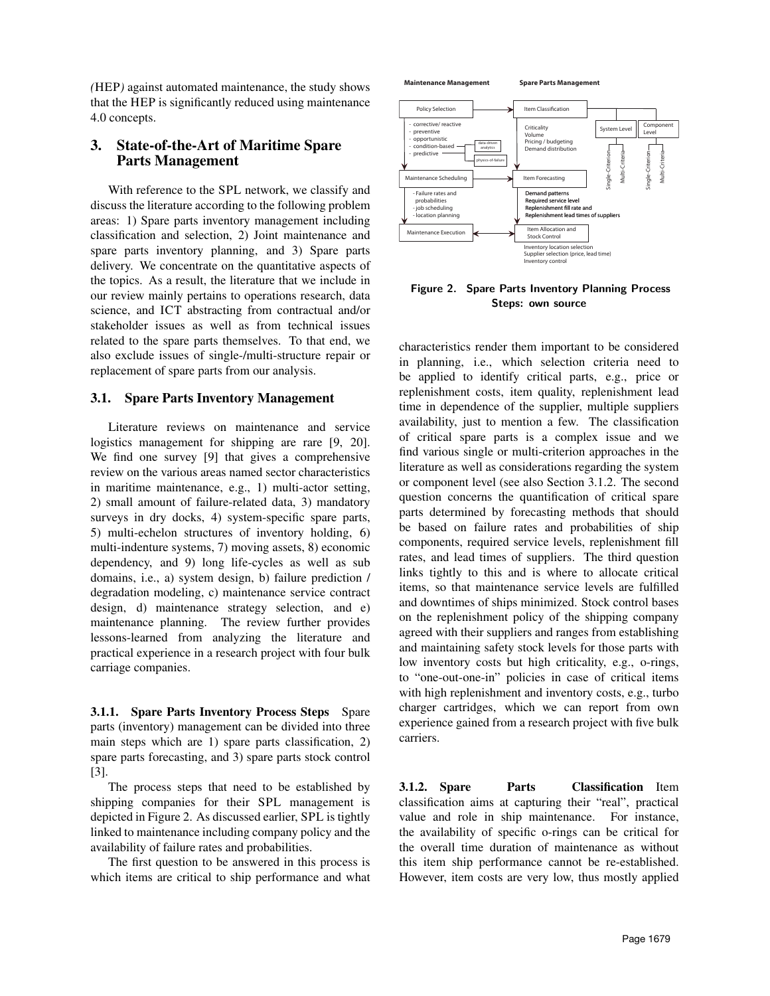*(*HEP*)* against automated maintenance, the study shows that the HEP is significantly reduced using maintenance 4.0 concepts.

## 3. State-of-the-Art of Maritime Spare Parts Management

With reference to the SPL network, we classify and discuss the literature according to the following problem areas: 1) Spare parts inventory management including classification and selection, 2) Joint maintenance and spare parts inventory planning, and 3) Spare parts delivery. We concentrate on the quantitative aspects of the topics. As a result, the literature that we include in our review mainly pertains to operations research, data science, and ICT abstracting from contractual and/or stakeholder issues as well as from technical issues related to the spare parts themselves. To that end, we also exclude issues of single-/multi-structure repair or replacement of spare parts from our analysis.

### 3.1. Spare Parts Inventory Management

Literature reviews on maintenance and service logistics management for shipping are rare [9, 20]. We find one survey [9] that gives a comprehensive review on the various areas named sector characteristics in maritime maintenance, e.g., 1) multi-actor setting, 2) small amount of failure-related data, 3) mandatory surveys in dry docks, 4) system-specific spare parts, 5) multi-echelon structures of inventory holding, 6) multi-indenture systems, 7) moving assets, 8) economic dependency, and 9) long life-cycles as well as sub domains, i.e., a) system design, b) failure prediction / degradation modeling, c) maintenance service contract design, d) maintenance strategy selection, and e) maintenance planning. The review further provides lessons-learned from analyzing the literature and practical experience in a research project with four bulk carriage companies.

3.1.1. Spare Parts Inventory Process Steps Spare parts (inventory) management can be divided into three main steps which are 1) spare parts classification, 2) spare parts forecasting, and 3) spare parts stock control [3].

The process steps that need to be established by shipping companies for their SPL management is depicted in Figure 2. As discussed earlier, SPL is tightly linked to maintenance including company policy and the availability of failure rates and probabilities.

The first question to be answered in this process is which items are critical to ship performance and what



Figure 2. Spare Parts Inventory Planning Process Steps: own source

characteristics render them important to be considered in planning, i.e., which selection criteria need to be applied to identify critical parts, e.g., price or replenishment costs, item quality, replenishment lead time in dependence of the supplier, multiple suppliers availability, just to mention a few. The classification of critical spare parts is a complex issue and we find various single or multi-criterion approaches in the literature as well as considerations regarding the system or component level (see also Section 3.1.2. The second question concerns the quantification of critical spare parts determined by forecasting methods that should be based on failure rates and probabilities of ship components, required service levels, replenishment fill rates, and lead times of suppliers. The third question links tightly to this and is where to allocate critical items, so that maintenance service levels are fulfilled and downtimes of ships minimized. Stock control bases on the replenishment policy of the shipping company agreed with their suppliers and ranges from establishing and maintaining safety stock levels for those parts with low inventory costs but high criticality, e.g., o-rings, to "one-out-one-in" policies in case of critical items with high replenishment and inventory costs, e.g., turbo charger cartridges, which we can report from own experience gained from a research project with five bulk carriers.

3.1.2. Spare Parts Classification Item classification aims at capturing their "real", practical value and role in ship maintenance. For instance, the availability of specific o-rings can be critical for the overall time duration of maintenance as without this item ship performance cannot be re-established. However, item costs are very low, thus mostly applied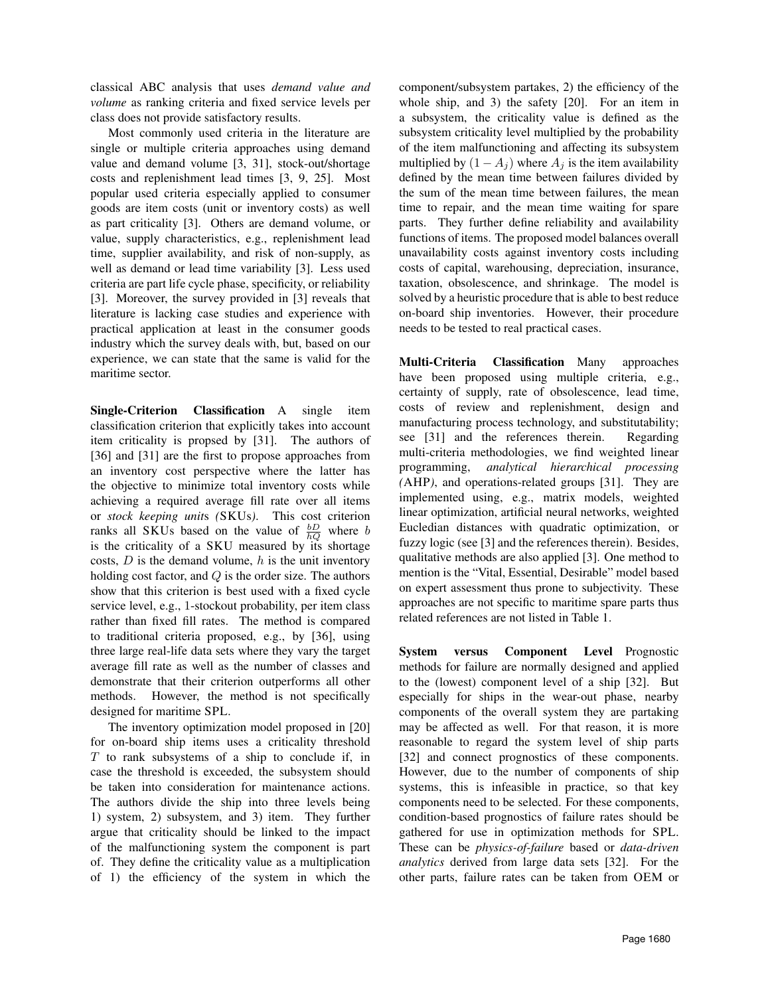classical ABC analysis that uses *demand value and volume* as ranking criteria and fixed service levels per class does not provide satisfactory results.

Most commonly used criteria in the literature are single or multiple criteria approaches using demand value and demand volume [3, 31], stock-out/shortage costs and replenishment lead times [3, 9, 25]. Most popular used criteria especially applied to consumer goods are item costs (unit or inventory costs) as well as part criticality [3]. Others are demand volume, or value, supply characteristics, e.g., replenishment lead time, supplier availability, and risk of non-supply, as well as demand or lead time variability [3]. Less used criteria are part life cycle phase, specificity, or reliability [3]. Moreover, the survey provided in [3] reveals that literature is lacking case studies and experience with practical application at least in the consumer goods industry which the survey deals with, but, based on our experience, we can state that the same is valid for the maritime sector.

Single-Criterion Classification A single item classification criterion that explicitly takes into account item criticality is propsed by [31]. The authors of [36] and [31] are the first to propose approaches from an inventory cost perspective where the latter has the objective to minimize total inventory costs while achieving a required average fill rate over all items or *stock keeping unit*s *(*SKUs*)*. This cost criterion ranks all SKUs based on the value of  $\frac{bD}{hQ}$  where b is the criticality of a SKU measured by its shortage costs,  $D$  is the demand volume,  $h$  is the unit inventory holding cost factor, and  $Q$  is the order size. The authors show that this criterion is best used with a fixed cycle service level, e.g., 1-stockout probability, per item class rather than fixed fill rates. The method is compared to traditional criteria proposed, e.g., by [36], using three large real-life data sets where they vary the target average fill rate as well as the number of classes and demonstrate that their criterion outperforms all other methods. However, the method is not specifically designed for maritime SPL.

The inventory optimization model proposed in [20] for on-board ship items uses a criticality threshold  $T$  to rank subsystems of a ship to conclude if, in case the threshold is exceeded, the subsystem should be taken into consideration for maintenance actions. The authors divide the ship into three levels being 1) system, 2) subsystem, and 3) item. They further argue that criticality should be linked to the impact of the malfunctioning system the component is part of. They define the criticality value as a multiplication of 1) the efficiency of the system in which the

component/subsystem partakes, 2) the efficiency of the whole ship, and 3) the safety [20]. For an item in a subsystem, the criticality value is defined as the subsystem criticality level multiplied by the probability of the item malfunctioning and affecting its subsystem multiplied by  $(1 - A_j)$  where  $A_j$  is the item availability defined by the mean time between failures divided by the sum of the mean time between failures, the mean time to repair, and the mean time waiting for spare parts. They further define reliability and availability functions of items. The proposed model balances overall unavailability costs against inventory costs including costs of capital, warehousing, depreciation, insurance, taxation, obsolescence, and shrinkage. The model is solved by a heuristic procedure that is able to best reduce on-board ship inventories. However, their procedure needs to be tested to real practical cases.

Multi-Criteria Classification Many approaches have been proposed using multiple criteria, e.g., certainty of supply, rate of obsolescence, lead time, costs of review and replenishment, design and manufacturing process technology, and substitutability; see [31] and the references therein. Regarding multi-criteria methodologies, we find weighted linear programming, *analytical hierarchical processing (*AHP*)*, and operations-related groups [31]. They are implemented using, e.g., matrix models, weighted linear optimization, artificial neural networks, weighted Eucledian distances with quadratic optimization, or fuzzy logic (see [3] and the references therein). Besides, qualitative methods are also applied [3]. One method to mention is the "Vital, Essential, Desirable" model based on expert assessment thus prone to subjectivity. These approaches are not specific to maritime spare parts thus related references are not listed in Table 1.

System versus Component Level Prognostic methods for failure are normally designed and applied to the (lowest) component level of a ship [32]. But especially for ships in the wear-out phase, nearby components of the overall system they are partaking may be affected as well. For that reason, it is more reasonable to regard the system level of ship parts [32] and connect prognostics of these components. However, due to the number of components of ship systems, this is infeasible in practice, so that key components need to be selected. For these components, condition-based prognostics of failure rates should be gathered for use in optimization methods for SPL. These can be *physics-of-failure* based or *data-driven analytics* derived from large data sets [32]. For the other parts, failure rates can be taken from OEM or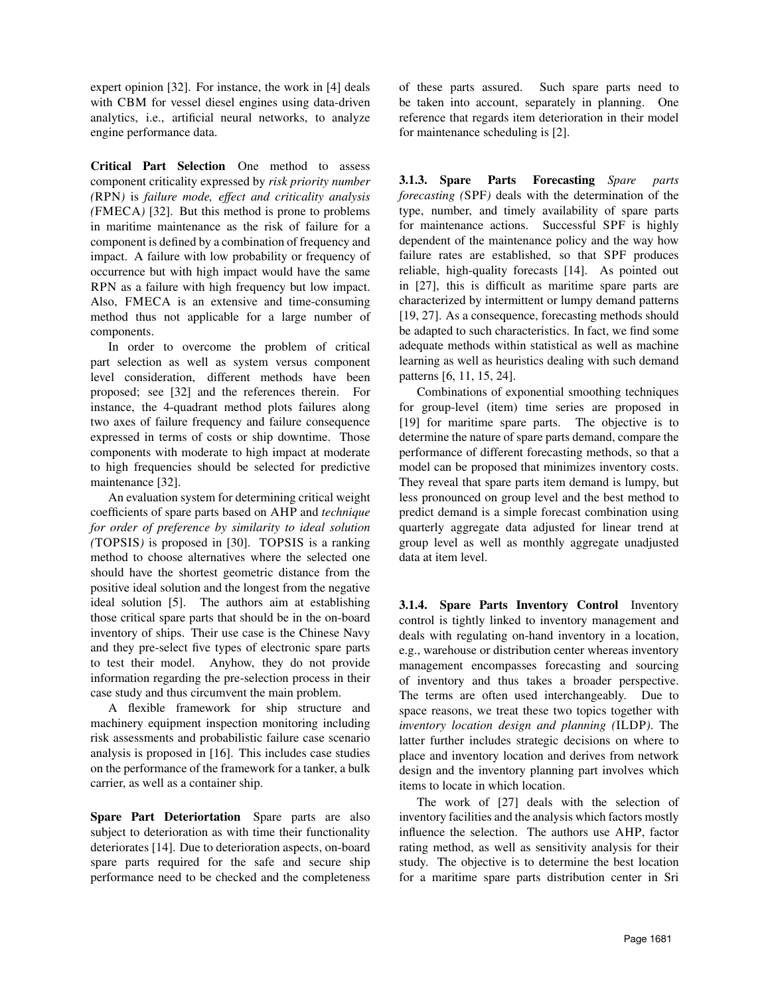expert opinion [32]. For instance, the work in [4] deals with CBM for vessel diesel engines using data-driven analytics, i.e., artificial neural networks, to analyze engine performance data.

Critical Part Selection One method to assess component criticality expressed by *risk priority number (*RPN*)* is *failure mode, effect and criticality analysis (*FMECA*)* [32]. But this method is prone to problems in maritime maintenance as the risk of failure for a component is defined by a combination of frequency and impact. A failure with low probability or frequency of occurrence but with high impact would have the same RPN as a failure with high frequency but low impact. Also, FMECA is an extensive and time-consuming method thus not applicable for a large number of components.

In order to overcome the problem of critical part selection as well as system versus component level consideration, different methods have been proposed; see [32] and the references therein. For instance, the 4-quadrant method plots failures along two axes of failure frequency and failure consequence expressed in terms of costs or ship downtime. Those components with moderate to high impact at moderate to high frequencies should be selected for predictive maintenance [32].

An evaluation system for determining critical weight coefficients of spare parts based on AHP and *technique for order of preference by similarity to ideal solution (*TOPSIS*)* is proposed in [30]. TOPSIS is a ranking method to choose alternatives where the selected one should have the shortest geometric distance from the positive ideal solution and the longest from the negative ideal solution [5]. The authors aim at establishing those critical spare parts that should be in the on-board inventory of ships. Their use case is the Chinese Navy and they pre-select five types of electronic spare parts to test their model. Anyhow, they do not provide information regarding the pre-selection process in their case study and thus circumvent the main problem.

A flexible framework for ship structure and machinery equipment inspection monitoring including risk assessments and probabilistic failure case scenario analysis is proposed in [16]. This includes case studies on the performance of the framework for a tanker, a bulk carrier, as well as a container ship.

Spare Part Deteriortation Spare parts are also subject to deterioration as with time their functionality deteriorates [14]. Due to deterioration aspects, on-board spare parts required for the safe and secure ship performance need to be checked and the completeness

of these parts assured. Such spare parts need to be taken into account, separately in planning. One reference that regards item deterioration in their model for maintenance scheduling is [2].

3.1.3. Spare Parts Forecasting *Spare parts forecasting (*SPF*)* deals with the determination of the type, number, and timely availability of spare parts for maintenance actions. Successful SPF is highly dependent of the maintenance policy and the way how failure rates are established, so that SPF produces reliable, high-quality forecasts [14]. As pointed out in [27], this is difficult as maritime spare parts are characterized by intermittent or lumpy demand patterns [19, 27]. As a consequence, forecasting methods should be adapted to such characteristics. In fact, we find some adequate methods within statistical as well as machine learning as well as heuristics dealing with such demand patterns [6, 11, 15, 24].

Combinations of exponential smoothing techniques for group-level (item) time series are proposed in [19] for maritime spare parts. The objective is to determine the nature of spare parts demand, compare the performance of different forecasting methods, so that a model can be proposed that minimizes inventory costs. They reveal that spare parts item demand is lumpy, but less pronounced on group level and the best method to predict demand is a simple forecast combination using quarterly aggregate data adjusted for linear trend at group level as well as monthly aggregate unadjusted data at item level.

3.1.4. Spare Parts Inventory Control Inventory control is tightly linked to inventory management and deals with regulating on-hand inventory in a location, e.g., warehouse or distribution center whereas inventory management encompasses forecasting and sourcing of inventory and thus takes a broader perspective. The terms are often used interchangeably. Due to space reasons, we treat these two topics together with *inventory location design and planning (*ILDP*)*. The latter further includes strategic decisions on where to place and inventory location and derives from network design and the inventory planning part involves which items to locate in which location.

The work of [27] deals with the selection of inventory facilities and the analysis which factors mostly influence the selection. The authors use AHP, factor rating method, as well as sensitivity analysis for their study. The objective is to determine the best location for a maritime spare parts distribution center in Sri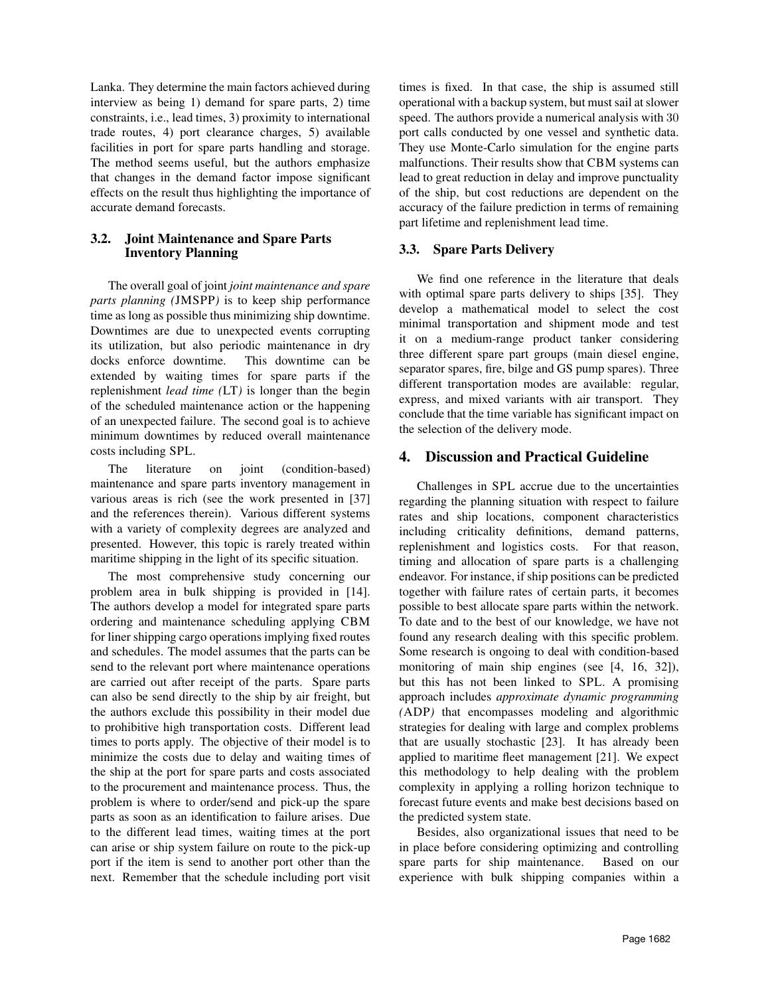Lanka. They determine the main factors achieved during interview as being 1) demand for spare parts, 2) time constraints, i.e., lead times, 3) proximity to international trade routes, 4) port clearance charges, 5) available facilities in port for spare parts handling and storage. The method seems useful, but the authors emphasize that changes in the demand factor impose significant effects on the result thus highlighting the importance of accurate demand forecasts.

## 3.2. Joint Maintenance and Spare Parts Inventory Planning

The overall goal of joint *joint maintenance and spare parts planning (*JMSPP*)* is to keep ship performance time as long as possible thus minimizing ship downtime. Downtimes are due to unexpected events corrupting its utilization, but also periodic maintenance in dry docks enforce downtime. This downtime can be extended by waiting times for spare parts if the replenishment *lead time (*LT*)* is longer than the begin of the scheduled maintenance action or the happening of an unexpected failure. The second goal is to achieve minimum downtimes by reduced overall maintenance costs including SPL.

The literature on joint (condition-based) maintenance and spare parts inventory management in various areas is rich (see the work presented in [37] and the references therein). Various different systems with a variety of complexity degrees are analyzed and presented. However, this topic is rarely treated within maritime shipping in the light of its specific situation.

The most comprehensive study concerning our problem area in bulk shipping is provided in [14]. The authors develop a model for integrated spare parts ordering and maintenance scheduling applying CBM for liner shipping cargo operations implying fixed routes and schedules. The model assumes that the parts can be send to the relevant port where maintenance operations are carried out after receipt of the parts. Spare parts can also be send directly to the ship by air freight, but the authors exclude this possibility in their model due to prohibitive high transportation costs. Different lead times to ports apply. The objective of their model is to minimize the costs due to delay and waiting times of the ship at the port for spare parts and costs associated to the procurement and maintenance process. Thus, the problem is where to order/send and pick-up the spare parts as soon as an identification to failure arises. Due to the different lead times, waiting times at the port can arise or ship system failure on route to the pick-up port if the item is send to another port other than the next. Remember that the schedule including port visit times is fixed. In that case, the ship is assumed still operational with a backup system, but must sail at slower speed. The authors provide a numerical analysis with 30 port calls conducted by one vessel and synthetic data. They use Monte-Carlo simulation for the engine parts malfunctions. Their results show that CBM systems can lead to great reduction in delay and improve punctuality of the ship, but cost reductions are dependent on the accuracy of the failure prediction in terms of remaining part lifetime and replenishment lead time.

## 3.3. Spare Parts Delivery

We find one reference in the literature that deals with optimal spare parts delivery to ships [35]. They develop a mathematical model to select the cost minimal transportation and shipment mode and test it on a medium-range product tanker considering three different spare part groups (main diesel engine, separator spares, fire, bilge and GS pump spares). Three different transportation modes are available: regular, express, and mixed variants with air transport. They conclude that the time variable has significant impact on the selection of the delivery mode.

# 4. Discussion and Practical Guideline

Challenges in SPL accrue due to the uncertainties regarding the planning situation with respect to failure rates and ship locations, component characteristics including criticality definitions, demand patterns, replenishment and logistics costs. For that reason, timing and allocation of spare parts is a challenging endeavor. For instance, if ship positions can be predicted together with failure rates of certain parts, it becomes possible to best allocate spare parts within the network. To date and to the best of our knowledge, we have not found any research dealing with this specific problem. Some research is ongoing to deal with condition-based monitoring of main ship engines (see [4, 16, 32]), but this has not been linked to SPL. A promising approach includes *approximate dynamic programming (*ADP*)* that encompasses modeling and algorithmic strategies for dealing with large and complex problems that are usually stochastic [23]. It has already been applied to maritime fleet management [21]. We expect this methodology to help dealing with the problem complexity in applying a rolling horizon technique to forecast future events and make best decisions based on the predicted system state.

Besides, also organizational issues that need to be in place before considering optimizing and controlling spare parts for ship maintenance. Based on our experience with bulk shipping companies within a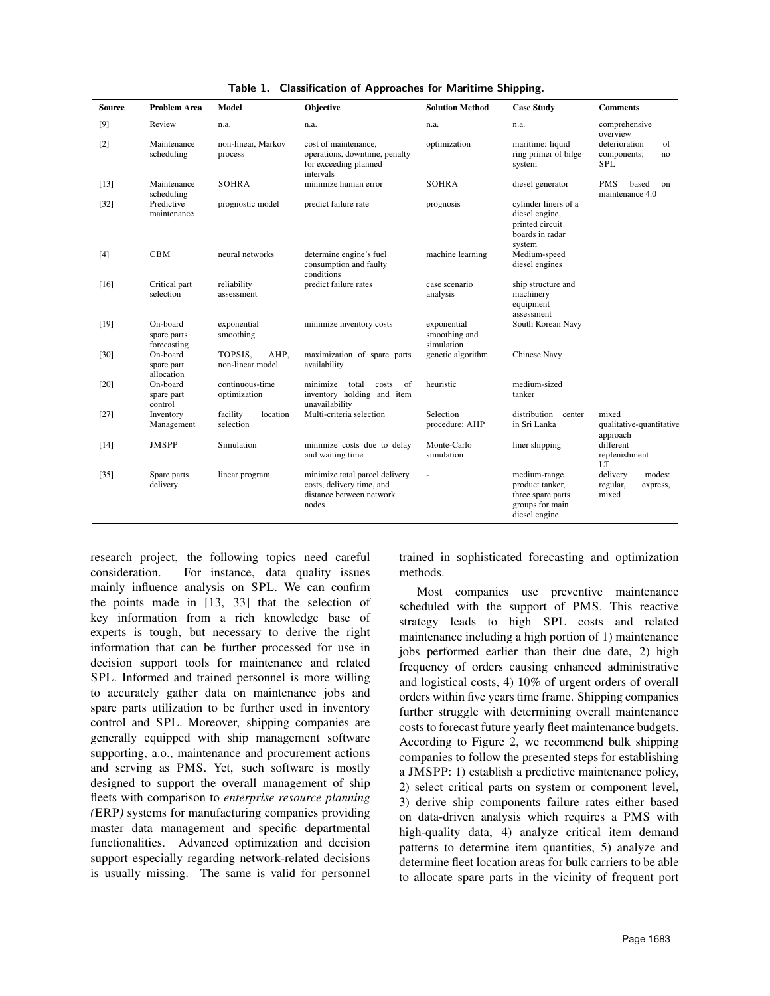| <b>Source</b>     | <b>Problem Area</b>                    | Model                               | <b>Objective</b>                                                                                 | <b>Solution Method</b>                     | <b>Case Study</b>                                                                        | <b>Comments</b>                                        |
|-------------------|----------------------------------------|-------------------------------------|--------------------------------------------------------------------------------------------------|--------------------------------------------|------------------------------------------------------------------------------------------|--------------------------------------------------------|
| $[9]$             | Review                                 | n.a.                                | n.a.                                                                                             | n.a.                                       | n.a.                                                                                     | comprehensive<br>overview                              |
| $\lceil 2 \rceil$ | Maintenance<br>scheduling              | non-linear, Markov<br>process       | cost of maintenance.<br>operations, downtime, penalty<br>for exceeding planned<br>intervals      | optimization                               | maritime: liquid<br>ring primer of bilge<br>system                                       | deterioration<br>of<br>components;<br>no<br><b>SPL</b> |
| $[13]$            | Maintenance<br>scheduling              | <b>SOHRA</b>                        | minimize human error                                                                             | <b>SOHRA</b>                               | diesel generator                                                                         | <b>PMS</b><br>based<br>on<br>maintenance 4.0           |
| $[32]$            | Predictive<br>maintenance              | prognostic model                    | predict failure rate                                                                             | prognosis                                  | cylinder liners of a<br>diesel engine,<br>printed circuit<br>boards in radar<br>system   |                                                        |
| [4]               | <b>CBM</b>                             | neural networks                     | determine engine's fuel<br>consumption and faulty<br>conditions                                  | machine learning                           | Medium-speed<br>diesel engines                                                           |                                                        |
| [16]              | Critical part<br>selection             | reliability<br>assessment           | predict failure rates                                                                            | case scenario<br>analysis                  | ship structure and<br>machinery<br>equipment<br>assessment                               |                                                        |
| $[19]$            | On-board<br>spare parts<br>forecasting | exponential<br>smoothing            | minimize inventory costs                                                                         | exponential<br>smoothing and<br>simulation | South Korean Navy                                                                        |                                                        |
| $[30]$            | On-board<br>spare part<br>allocation   | TOPSIS.<br>AHP.<br>non-linear model | maximization of spare parts<br>availability                                                      | genetic algorithm                          | Chinese Navy                                                                             |                                                        |
| [20]              | On-board<br>spare part<br>control      | continuous-time<br>optimization     | minimize<br>- of<br>total<br>costs<br>inventory holding and item<br>unavailability               | heuristic                                  | medium-sized<br>tanker                                                                   |                                                        |
| $[27]$            | Inventory<br>Management                | facility<br>location<br>selection   | Multi-criteria selection                                                                         | Selection<br>procedure; AHP                | distribution<br>center<br>in Sri Lanka                                                   | mixed<br>qualitative-quantitative<br>approach          |
| $[14]$            | <b>JMSPP</b>                           | Simulation                          | minimize costs due to delay<br>and waiting time                                                  | Monte-Carlo<br>simulation                  | liner shipping                                                                           | different<br>replenishment<br>LT.                      |
| $[35]$            | Spare parts<br>delivery                | linear program                      | minimize total parcel delivery<br>costs, delivery time, and<br>distance between network<br>nodes |                                            | medium-range<br>product tanker,<br>three spare parts<br>groups for main<br>diesel engine | delivery<br>modes:<br>regular,<br>express,<br>mixed    |

Table 1. Classification of Approaches for Maritime Shipping.

research project, the following topics need careful consideration. For instance, data quality issues mainly influence analysis on SPL. We can confirm the points made in [13, 33] that the selection of key information from a rich knowledge base of experts is tough, but necessary to derive the right information that can be further processed for use in decision support tools for maintenance and related SPL. Informed and trained personnel is more willing to accurately gather data on maintenance jobs and spare parts utilization to be further used in inventory control and SPL. Moreover, shipping companies are generally equipped with ship management software supporting, a.o., maintenance and procurement actions and serving as PMS. Yet, such software is mostly designed to support the overall management of ship fleets with comparison to *enterprise resource planning (*ERP*)* systems for manufacturing companies providing master data management and specific departmental functionalities. Advanced optimization and decision support especially regarding network-related decisions is usually missing. The same is valid for personnel

trained in sophisticated forecasting and optimization methods.

Most companies use preventive maintenance scheduled with the support of PMS. This reactive strategy leads to high SPL costs and related maintenance including a high portion of 1) maintenance jobs performed earlier than their due date, 2) high frequency of orders causing enhanced administrative and logistical costs, 4) 10% of urgent orders of overall orders within five years time frame. Shipping companies further struggle with determining overall maintenance costs to forecast future yearly fleet maintenance budgets. According to Figure 2, we recommend bulk shipping companies to follow the presented steps for establishing a JMSPP: 1) establish a predictive maintenance policy, 2) select critical parts on system or component level, 3) derive ship components failure rates either based on data-driven analysis which requires a PMS with high-quality data, 4) analyze critical item demand patterns to determine item quantities, 5) analyze and determine fleet location areas for bulk carriers to be able to allocate spare parts in the vicinity of frequent port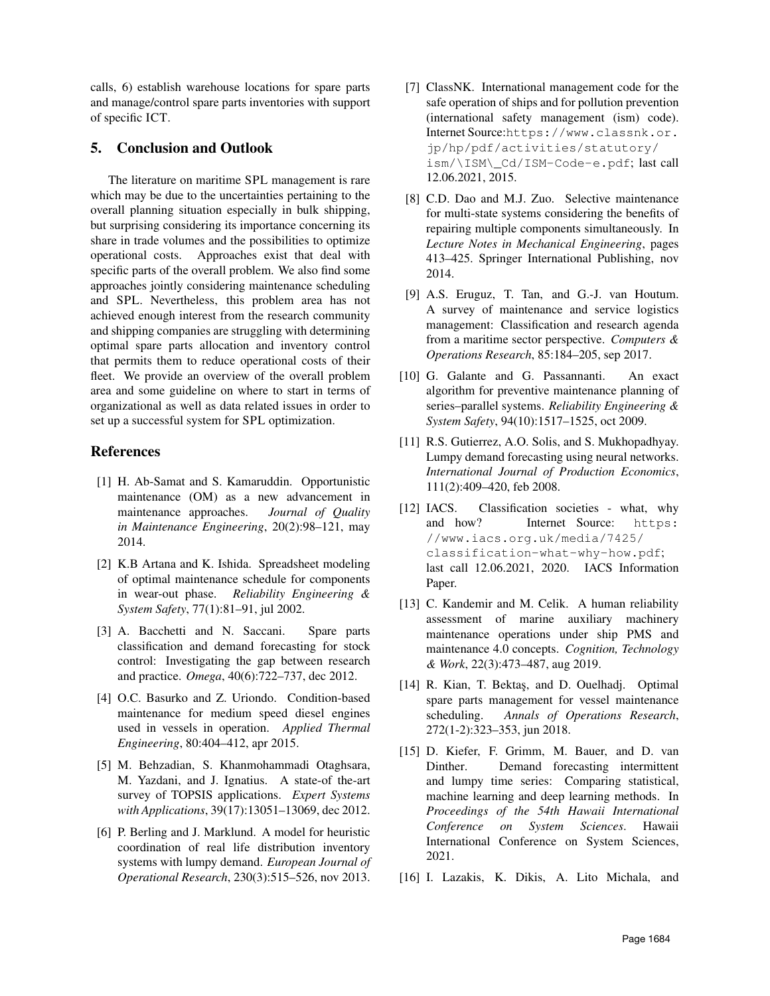calls, 6) establish warehouse locations for spare parts and manage/control spare parts inventories with support of specific ICT.

# 5. Conclusion and Outlook

The literature on maritime SPL management is rare which may be due to the uncertainties pertaining to the overall planning situation especially in bulk shipping, but surprising considering its importance concerning its share in trade volumes and the possibilities to optimize operational costs. Approaches exist that deal with specific parts of the overall problem. We also find some approaches jointly considering maintenance scheduling and SPL. Nevertheless, this problem area has not achieved enough interest from the research community and shipping companies are struggling with determining optimal spare parts allocation and inventory control that permits them to reduce operational costs of their fleet. We provide an overview of the overall problem area and some guideline on where to start in terms of organizational as well as data related issues in order to set up a successful system for SPL optimization.

# References

- [1] H. Ab-Samat and S. Kamaruddin. Opportunistic maintenance (OM) as a new advancement in maintenance approaches. *Journal of Quality in Maintenance Engineering*, 20(2):98–121, may 2014.
- [2] K.B Artana and K. Ishida. Spreadsheet modeling of optimal maintenance schedule for components in wear-out phase. *Reliability Engineering & System Safety*, 77(1):81–91, jul 2002.
- [3] A. Bacchetti and N. Saccani. Spare parts classification and demand forecasting for stock control: Investigating the gap between research and practice. *Omega*, 40(6):722–737, dec 2012.
- [4] O.C. Basurko and Z. Uriondo. Condition-based maintenance for medium speed diesel engines used in vessels in operation. *Applied Thermal Engineering*, 80:404–412, apr 2015.
- [5] M. Behzadian, S. Khanmohammadi Otaghsara, M. Yazdani, and J. Ignatius. A state-of the-art survey of TOPSIS applications. *Expert Systems with Applications*, 39(17):13051–13069, dec 2012.
- [6] P. Berling and J. Marklund. A model for heuristic coordination of real life distribution inventory systems with lumpy demand. *European Journal of Operational Research*, 230(3):515–526, nov 2013.
- [7] ClassNK. International management code for the safe operation of ships and for pollution prevention (international safety management (ism) code). Internet Source:https://www.classnk.or. jp/hp/pdf/activities/statutory/ ism/\ISM\\_Cd/ISM-Code-e.pdf; last call 12.06.2021, 2015.
- [8] C.D. Dao and M.J. Zuo. Selective maintenance for multi-state systems considering the benefits of repairing multiple components simultaneously. In *Lecture Notes in Mechanical Engineering*, pages 413–425. Springer International Publishing, nov 2014.
- [9] A.S. Eruguz, T. Tan, and G.-J. van Houtum. A survey of maintenance and service logistics management: Classification and research agenda from a maritime sector perspective. *Computers & Operations Research*, 85:184–205, sep 2017.
- [10] G. Galante and G. Passannanti. An exact algorithm for preventive maintenance planning of series–parallel systems. *Reliability Engineering & System Safety*, 94(10):1517–1525, oct 2009.
- [11] R.S. Gutierrez, A.O. Solis, and S. Mukhopadhyay. Lumpy demand forecasting using neural networks. *International Journal of Production Economics*, 111(2):409–420, feb 2008.
- [12] IACS. Classification societies what, why and how? Internet Source: https: //www.iacs.org.uk/media/7425/ classification-what-why-how.pdf; last call 12.06.2021, 2020. IACS Information Paper.
- [13] C. Kandemir and M. Celik. A human reliability assessment of marine auxiliary machinery maintenance operations under ship PMS and maintenance 4.0 concepts. *Cognition, Technology & Work*, 22(3):473–487, aug 2019.
- [14] R. Kian, T. Bektaş, and D. Ouelhadj. Optimal spare parts management for vessel maintenance scheduling. *Annals of Operations Research*, 272(1-2):323–353, jun 2018.
- [15] D. Kiefer, F. Grimm, M. Bauer, and D. van Dinther. Demand forecasting intermittent and lumpy time series: Comparing statistical, machine learning and deep learning methods. In *Proceedings of the 54th Hawaii International Conference on System Sciences*. Hawaii International Conference on System Sciences, 2021.
- [16] I. Lazakis, K. Dikis, A. Lito Michala, and